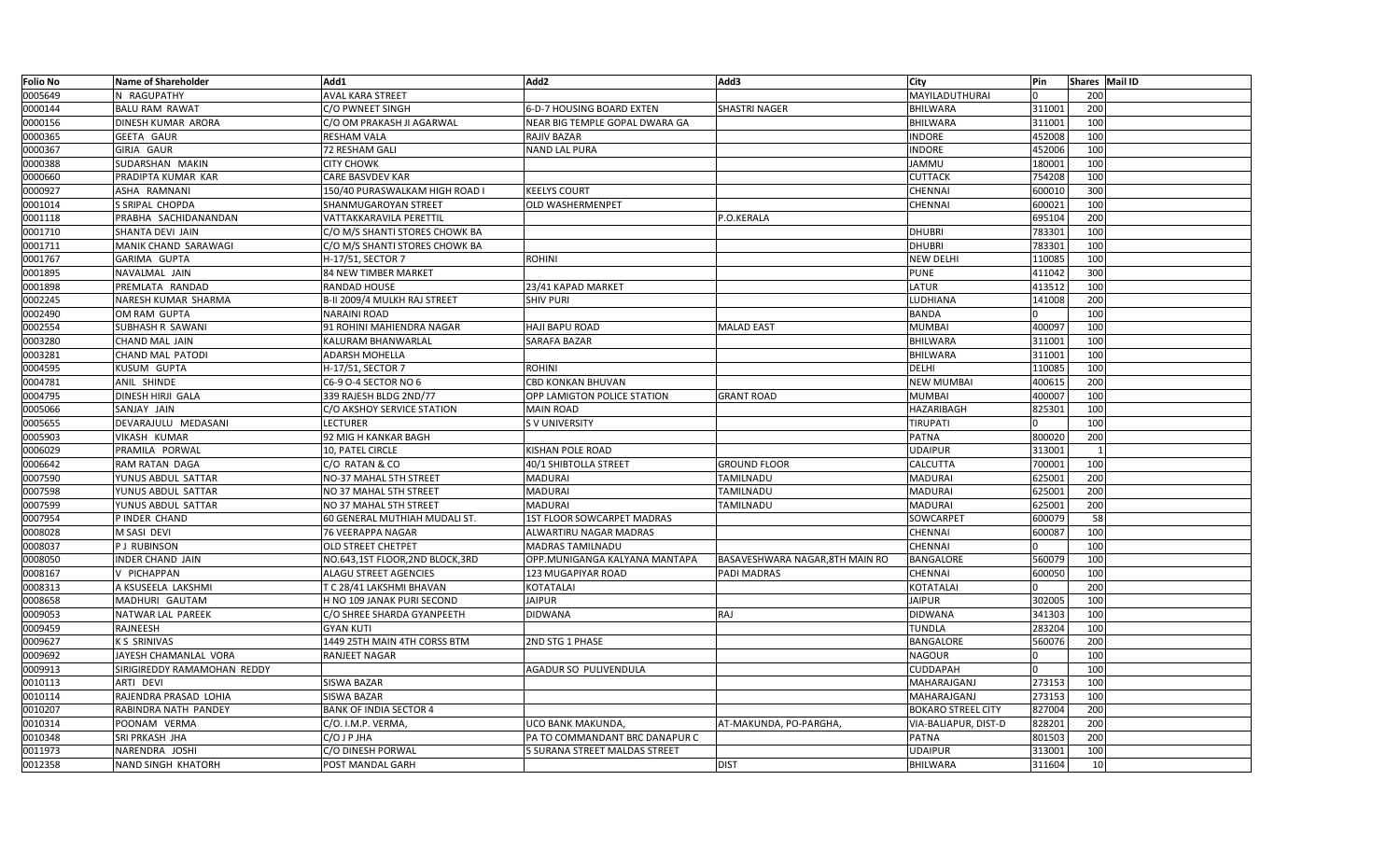| <b>Folio No</b> | <b>Name of Shareholder</b>  | Add1                           | Add2                           | Add3                            | City                      | Pin    | Shares Mail ID |  |
|-----------------|-----------------------------|--------------------------------|--------------------------------|---------------------------------|---------------------------|--------|----------------|--|
| 0005649         | N RAGUPATHY                 | <b>AVAL KARA STREET</b>        |                                |                                 | MAYILADUTHURAI            |        | 200            |  |
| 0000144         | <b>BALU RAM RAWAT</b>       | C/O PWNEET SINGH               | 6-D-7 HOUSING BOARD EXTEN      | <b>SHASTRI NAGER</b>            | BHILWARA                  | 311001 | 200            |  |
| 0000156         | DINESH KUMAR ARORA          | C/O OM PRAKASH JI AGARWAI      | NEAR BIG TEMPLE GOPAL DWARA GA |                                 | BHILWARA                  | 311001 | 100            |  |
| 0000365         | <b>GEETA GAUR</b>           | <b>RESHAM VALA</b>             | RAJIV BAZAR                    |                                 | <b>INDORE</b>             | 452008 | 100            |  |
| 0000367         | GIRJA GAUR                  | 72 RESHAM GALI                 | NAND LAL PURA                  |                                 | <b>INDORE</b>             | 452006 | 100            |  |
| 0000388         | SUDARSHAN MAKIN             | <b>CITY CHOWK</b>              |                                |                                 | <b>JAMMU</b>              | 180001 | 100            |  |
| 0000660         | PRADIPTA KUMAR KAR          | CARE BASVDEV KAR               |                                |                                 | CUTTACK                   | 754208 | 100            |  |
| 0000927         | ASHA RAMNANI                | 150/40 PURASWALKAM HIGH ROAD I | <b>KEELYS COURT</b>            |                                 | CHENNAI                   | 600010 | 300            |  |
| 0001014         | S SRIPAL CHOPDA             | SHANMUGAROYAN STREET           | <b>OLD WASHERMENPET</b>        |                                 | CHENNAI                   | 600021 | 100            |  |
| 0001118         | PRABHA SACHIDANANDAN        | VATTAKKARAVILA PERETTIL        |                                | P.O.KERALA                      |                           | 695104 | 200            |  |
| 0001710         | SHANTA DEVI JAIN            | C/O M/S SHANTI STORES CHOWK BA |                                |                                 | <b>DHUBRI</b>             | 783301 | 100            |  |
| 0001711         | MANIK CHAND SARAWAGI        | C/O M/S SHANTI STORES CHOWK BA |                                |                                 | <b>DHUBRI</b>             | 783301 | 100            |  |
| 0001767         | GARIMA GUPTA                | H-17/51, SECTOR 7              | <b>ROHINI</b>                  |                                 | <b>NEW DELHI</b>          | 110085 | 100            |  |
| 0001895         | NAVALMAL JAIN               | 84 NEW TIMBER MARKET           |                                |                                 | <b>PUNE</b>               | 411042 | 300            |  |
| 0001898         | PREMLATA RANDAD             | RANDAD HOUSE                   | 23/41 KAPAD MARKET             |                                 | LATUR                     | 413512 | 100            |  |
| 0002245         | NARESH KUMAR SHARMA         | B-II 2009/4 MULKH RAJ STREET   | <b>SHIV PURI</b>               |                                 | LUDHIANA                  | 141008 | 200            |  |
| 0002490         | OM RAM GUPTA                | <b>NARAINI ROAD</b>            |                                |                                 | <b>BANDA</b>              |        | 100            |  |
| 0002554         | SUBHASH R SAWANI            | 91 ROHINI MAHIENDRA NAGAR      | <b>HAJI BAPU ROAD</b>          | <b>MALAD EAST</b>               | <b>MUMBAI</b>             | 400097 | 100            |  |
| 0003280         | CHAND MAL JAIN              | KALURAM BHANWARLAL             | SARAFA BAZAR                   |                                 | <b>BHILWARA</b>           | 311001 | 100            |  |
| 0003281         | CHAND MAL PATODI            | ADARSH MOHELLA                 |                                |                                 | <b>BHILWARA</b>           | 311001 | 100            |  |
| 0004595         | KUSUM GUPTA                 | H-17/51, SECTOR 7              | ROHINI                         |                                 | <b>DELHI</b>              | 110085 | 100            |  |
| 0004781         | ANIL SHINDE                 | C6-9 O-4 SECTOR NO 6           | CBD KONKAN BHUVAN              |                                 | <b>NEW MUMBAI</b>         | 400615 | 200            |  |
| 0004795         | DINESH HIRJI GALA           | 339 RAJESH BLDG 2ND/77         | OPP LAMIGTON POLICE STATION    | <b>GRANT ROAD</b>               | <b>MUMBAI</b>             | 400007 | 100            |  |
| 0005066         | SANJAY JAIN                 | C/O AKSHOY SERVICE STATION     | <b>MAIN ROAD</b>               |                                 | HAZARIBAGH                | 825301 | 100            |  |
| 0005655         | DEVARAJULU MEDASANI         | <b>LECTURER</b>                | <b>SV UNIVERSITY</b>           |                                 | <b>TIRUPATI</b>           |        | 100            |  |
| 0005903         | VIKASH KUMAR                | 92 MIG H KANKAR BAGH           |                                |                                 | <b>PATNA</b>              | 800020 | 200            |  |
| 0006029         | PRAMILA PORWAL              | 10, PATEL CIRCLE               | KISHAN POLE ROAD               |                                 | <b>UDAIPUR</b>            | 313001 | 1              |  |
| 0006642         | RAM RATAN DAGA              | C/O RATAN & CO                 | 40/1 SHIBTOLLA STREET          | <b>GROUND FLOOR</b>             | CALCUTTA                  | 700001 | 100            |  |
| 0007590         | YUNUS ABDUL SATTAR          | NO-37 MAHAL 5TH STREET         | <b>MADURAI</b>                 | TAMILNADU                       | MADURAI                   | 625001 | 200            |  |
| 0007598         | YUNUS ABDUL SATTAR          | NO 37 MAHAL 5TH STREET         | <b>MADURAI</b>                 | TAMILNADU                       | MADURAI                   | 625001 | 200            |  |
| 0007599         | YUNUS ABDUL SATTAR          | NO 37 MAHAL 5TH STREET         | <b>MADURAI</b>                 | TAMILNADU                       | MADURAI                   | 625001 | 200            |  |
| 0007954         | P INDER CHAND               | 60 GENERAL MUTHIAH MUDALI ST.  | 1ST FLOOR SOWCARPET MADRAS     |                                 | SOWCARPET                 | 600079 | 58             |  |
| 0008028         | M SASI DEVI                 | <b>76 VEERAPPA NAGAR</b>       | ALWARTIRU NAGAR MADRAS         |                                 | <b>CHENNAI</b>            | 600087 | 100            |  |
| 0008037         | P J RUBINSON                | OLD STREET CHETPET             | <b>MADRAS TAMILNADU</b>        |                                 | CHENNAI                   |        | 100            |  |
| 0008050         | <b>INDER CHAND JAIN</b>     | NO.643,1ST FLOOR,2ND BLOCK,3RD | OPP.MUNIGANGA KALYANA MANTAPA  | BASAVESHWARA NAGAR, 8TH MAIN RO | <b>BANGALORE</b>          | 560079 | 100            |  |
| 0008167         | V PICHAPPAN                 | <b>ALAGU STREET AGENCIES</b>   | 123 MUGAPIYAR ROAD             | <b>PADI MADRAS</b>              | CHENNAI                   | 600050 | 100            |  |
| 0008313         | A KSUSEELA LAKSHMI          | T C 28/41 LAKSHMI BHAVAN       | KOTATALAI                      |                                 | KOTATALAI                 |        | 200            |  |
| 0008658         | MADHURI GAUTAM              | H NO 109 JANAK PURI SECOND     | <b>JAIPUR</b>                  |                                 | <b>JAIPUR</b>             | 302005 | 100            |  |
| 0009053         | NATWAR LAL PAREEK           | C/O SHREE SHARDA GYANPEETH     | <b>DIDWANA</b>                 | RAJ                             | <b>DIDWANA</b>            | 341303 | 100            |  |
| 0009459         | RAJNEESH                    | <b>GYAN KUTI</b>               |                                |                                 | <b>TUNDLA</b>             | 283204 | 100            |  |
| 0009627         | K S SRINIVAS                | 1449 25TH MAIN 4TH CORSS BTM   | 2ND STG 1 PHASE                |                                 | <b>BANGALORE</b>          | 560076 | 200            |  |
| 0009692         | JAYESH CHAMANLAL VORA       | RANJEET NAGAR                  |                                |                                 | <b>NAGOUR</b>             |        | 100            |  |
| 0009913         | SIRIGIREDDY RAMAMOHAN REDDY |                                | AGADUR SO PULIVENDULA          |                                 | <b>CUDDAPAH</b>           |        | 100            |  |
| 0010113         | ARTI DEVI                   | SISWA BAZAR                    |                                |                                 | MAHARAJGANJ               | 273153 | 100            |  |
| 0010114         | RAJENDRA PRASAD LOHIA       | <b>SISWA BAZAR</b>             |                                |                                 | MAHARAJGANJ               | 273153 | 100            |  |
| 0010207         | RABINDRA NATH PANDEY        | <b>BANK OF INDIA SECTOR 4</b>  |                                |                                 | <b>BOKARO STREEL CITY</b> | 827004 | 200            |  |
| 0010314         | POONAM VERMA                | C/O. I.M.P. VERMA,             | UCO BANK MAKUNDA,              | AT-MAKUNDA, PO-PARGHA,          | VIA-BALIAPUR, DIST-D      | 828201 | 200            |  |
| 0010348         | SRI PRKASH JHA              | C/O J P JHA                    | PA TO COMMANDANT BRC DANAPUR C |                                 | PATNA                     | 801503 | 200            |  |
| 0011973         | NARENDRA JOSHI              | C/O DINESH PORWAL              | 5 SURANA STREET MALDAS STREET  |                                 | <b>UDAIPUR</b>            | 313001 | 100            |  |
| 0012358         | NAND SINGH KHATORH          | POST MANDAL GARH               |                                | <b>DIST</b>                     | <b>BHILWARA</b>           | 311604 | 10             |  |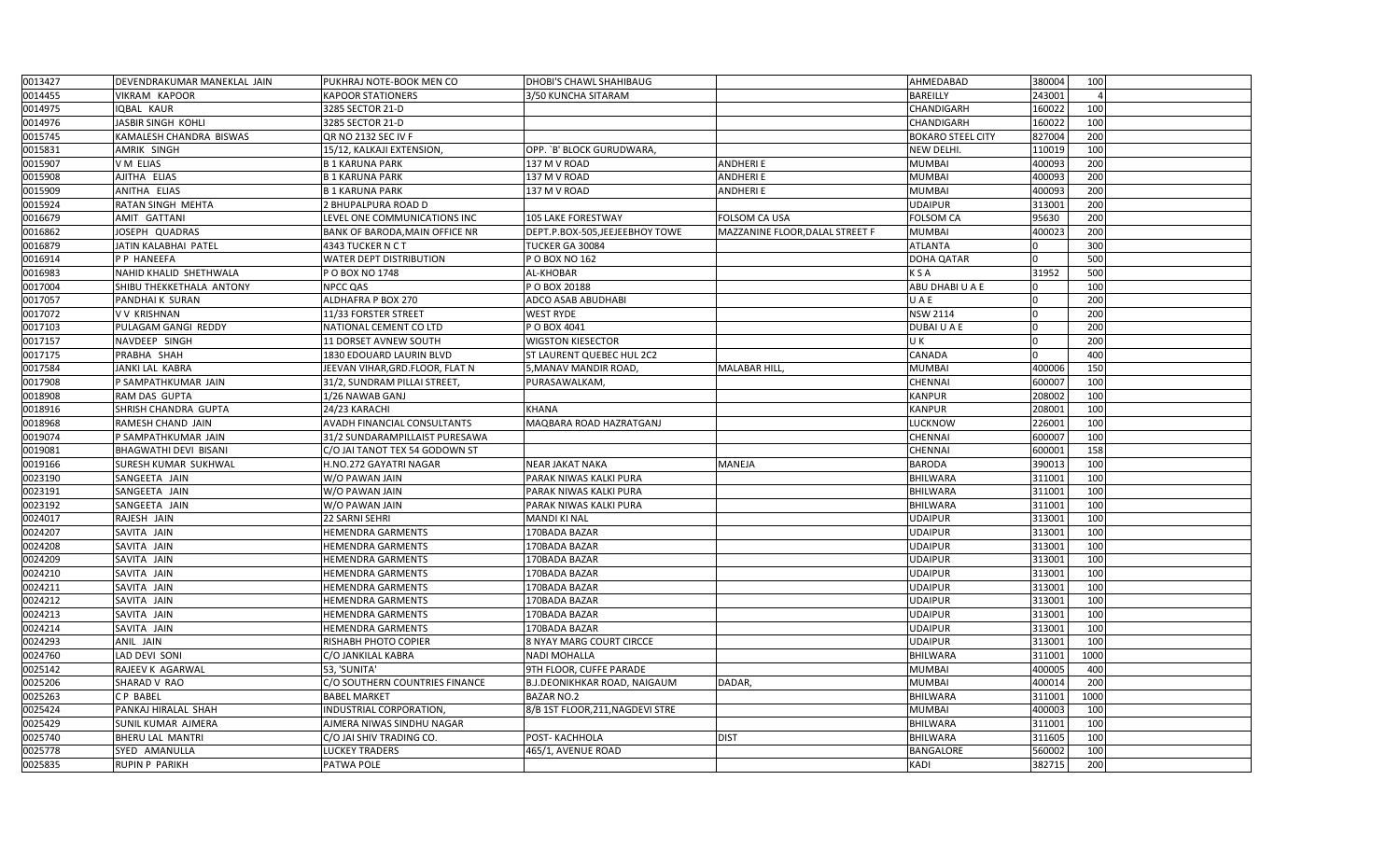| 0013427 | DEVENDRAKUMAR MANEKLAL JAIN | PUKHRAJ NOTE-BOOK MEN CO           | DHOBI'S CHAWL SHAHIBAUG             |                                 | AHMEDABAD                | 380004 | 100            |  |
|---------|-----------------------------|------------------------------------|-------------------------------------|---------------------------------|--------------------------|--------|----------------|--|
| 0014455 | VIKRAM KAPOOR               | <b>KAPOOR STATIONERS</b>           | 3/50 KUNCHA SITARAM                 |                                 | <b>BAREILLY</b>          | 243001 | $\overline{4}$ |  |
| 0014975 | IQBAL KAUR                  | 3285 SECTOR 21-D                   |                                     |                                 | CHANDIGARH               | 160022 | 100            |  |
| 0014976 | JASBIR SINGH KOHLI          | 3285 SECTOR 21-D                   |                                     |                                 | CHANDIGARH               | 160022 | 100            |  |
| 0015745 | KAMALESH CHANDRA BISWAS     | QR NO 2132 SEC IV F                |                                     |                                 | <b>BOKARO STEEL CITY</b> | 827004 | 200            |  |
| 0015831 | AMRIK SINGH                 | 15/12, KALKAJI EXTENSION,          | OPP. `B' BLOCK GURUDWARA,           |                                 | NEW DELHI.               | 110019 | 100            |  |
| 0015907 | V M ELIAS                   | <b>B1 KARUNA PARK</b>              | 137 M V ROAD                        | <b>ANDHERIE</b>                 | <b>MUMBAI</b>            | 400093 | 200            |  |
| 0015908 | AJITHA ELIAS                | <b>B1 KARUNA PARK</b>              | 137 M V ROAD                        | ANDHERI E                       | <b>MUMBAI</b>            | 400093 | 200            |  |
| 0015909 | ANITHA ELIAS                | <b>B1 KARUNA PARK</b>              | 137 M V ROAD                        | <b>ANDHERI E</b>                | <b>MUMBAI</b>            | 400093 | 200            |  |
| 0015924 | RATAN SINGH MEHTA           | 2 BHUPALPURA ROAD D                |                                     |                                 | <b>UDAIPUR</b>           | 313001 | 200            |  |
| 0016679 | AMIT GATTANI                | LEVEL ONE COMMUNICATIONS INC       | <b>105 LAKE FORESTWAY</b>           | <b>FOLSOM CA USA</b>            | <b>FOLSOM CA</b>         | 95630  | 200            |  |
| 0016862 | JOSEPH QUADRAS              | BANK OF BARODA, MAIN OFFICE NR     | DEPT.P.BOX-505,JEEJEEBHOY TOWE      | MAZZANINE FLOOR, DALAL STREET F | <b>MUMBAI</b>            | 400023 | 200            |  |
| 0016879 | JATIN KALABHAI PATEL        | 4343 TUCKER N C T                  | TUCKER GA 30084                     |                                 | <b>ATLANTA</b>           |        | 300            |  |
| 0016914 | P P HANEEFA                 | WATER DEPT DISTRIBUTION            | P O BOX NO 162                      |                                 | <b>DOHA QATAR</b>        |        | 500            |  |
| 0016983 | NAHID KHALID SHETHWALA      | P O BOX NO 1748                    | AL-KHOBAR                           |                                 | <b>KSA</b>               | 31952  | 500            |  |
| 0017004 | SHIBU THEKKETHALA ANTONY    | <b>NPCC QAS</b>                    | P O BOX 20188                       |                                 | ABU DHABI U A E          |        | 100            |  |
| 0017057 | PANDHAI K SURAN             | ALDHAFRA P BOX 270                 | ADCO ASAB ABUDHABI                  |                                 | U A E                    |        | 200            |  |
| 0017072 | <b>VV KRISHNAN</b>          | 11/33 FORSTER STREET               | <b>WEST RYDE</b>                    |                                 | <b>NSW 2114</b>          |        | 200            |  |
| 0017103 | PULAGAM GANGI REDDY         | NATIONAL CEMENT CO LTD             | P O BOX 4041                        |                                 | DUBAIU A E               |        | 200            |  |
| 0017157 | NAVDEEP SINGH               | 11 DORSET AVNEW SOUTH              | <b>WIGSTON KIESECTOR</b>            |                                 | U K                      |        | 200            |  |
| 0017175 | PRABHA SHAH                 | 1830 EDOUARD LAURIN BLVD           | <b>ST LAURENT QUEBEC HUL 2C2</b>    |                                 | CANADA                   |        | 400            |  |
| 0017584 | JANKI LAL KABRA             | JEEVAN VIHAR, GRD. FLOOR, FLAT N   | 5, MANAV MANDIR ROAD                | <b>MALABAR HILL</b>             | <b>MUMBAI</b>            | 400006 | 150            |  |
| 0017908 | P SAMPATHKUMAR JAIN         | 31/2, SUNDRAM PILLAI STREET        | PURASAWALKAM,                       |                                 | <b>CHENNAI</b>           | 600007 | 100            |  |
| 0018908 | RAM DAS GUPTA               | 1/26 NAWAB GANJ                    |                                     |                                 | <b>KANPUR</b>            | 208002 | 100            |  |
| 0018916 | SHRISH CHANDRA GUPTA        | 24/23 KARACHI                      | <b>KHANA</b>                        |                                 | <b>KANPUR</b>            | 208001 | 100            |  |
| 0018968 | RAMESH CHAND JAIN           | <b>AVADH FINANCIAL CONSULTANTS</b> | MAQBARA ROAD HAZRATGANJ             |                                 | <b>LUCKNOW</b>           | 226001 | 100            |  |
| 0019074 | P SAMPATHKUMAR JAIN         | 31/2 SUNDARAMPILLAIST PURESAWA     |                                     |                                 | <b>CHENNAI</b>           | 600007 | 100            |  |
| 0019081 | BHAGWATHI DEVI BISANI       | C/O JAI TANOT TEX 54 GODOWN ST     |                                     |                                 | <b>CHENNAI</b>           | 600001 | 158            |  |
| 0019166 | SURESH KUMAR SUKHWAL        | H.NO.272 GAYATRI NAGAR             | <b>NEAR JAKAT NAKA</b>              | MANEJA                          | <b>BARODA</b>            | 390013 | 100            |  |
| 0023190 | SANGEETA JAIN               | W/O PAWAN JAIN                     | PARAK NIWAS KALKI PURA              |                                 | <b>BHILWARA</b>          | 311001 | 100            |  |
| 0023191 | SANGEETA JAIN               | W/O PAWAN JAIN                     | PARAK NIWAS KALKI PURA              |                                 | <b>BHILWARA</b>          | 311001 | 100            |  |
| 0023192 | SANGEETA JAIN               | W/O PAWAN JAIN                     | PARAK NIWAS KALKI PURA              |                                 | <b>BHILWARA</b>          | 311001 | 100            |  |
| 0024017 | RAJESH JAIN                 | 22 SARNI SEHRI                     | <b>MANDI KI NAL</b>                 |                                 | <b>UDAIPUR</b>           | 313001 | 100            |  |
| 0024207 | SAVITA JAIN                 | <b>HEMENDRA GARMENTS</b>           | 170BADA BAZAR                       |                                 | <b>UDAIPUR</b>           | 313001 | 100            |  |
| 0024208 | SAVITA JAIN                 | <b>HEMENDRA GARMENTS</b>           | 170BADA BAZAR                       |                                 | <b>UDAIPUR</b>           | 313001 | 100            |  |
| 0024209 | SAVITA JAIN                 | <b>HEMENDRA GARMENTS</b>           | 170BADA BAZAR                       |                                 | <b>UDAIPUR</b>           | 313001 | 100            |  |
| 0024210 | SAVITA JAIN                 | <b>HEMENDRA GARMENTS</b>           | 170BADA BAZAR                       |                                 | <b>UDAIPUR</b>           | 313001 | 100            |  |
| 0024211 | SAVITA JAIN                 | <b>HEMENDRA GARMENTS</b>           | 170BADA BAZAR                       |                                 | <b>UDAIPUR</b>           | 313001 | 100            |  |
| 0024212 | SAVITA JAIN                 | <b>HEMENDRA GARMENTS</b>           | 170BADA BAZAR                       |                                 | <b>UDAIPUR</b>           | 313001 | 100            |  |
| 0024213 | SAVITA JAIN                 | <b>HEMENDRA GARMENTS</b>           | 170BADA BAZAR                       |                                 | <b>UDAIPUR</b>           | 313001 | 100            |  |
| 0024214 | SAVITA JAIN                 | HEMENDRA GARMENTS                  | 170BADA BAZAR                       |                                 | <b>UDAIPUR</b>           | 313001 | 100            |  |
| 0024293 | ANIL JAIN                   | RISHABH PHOTO COPIER               | 8 NYAY MARG COURT CIRCCE            |                                 | <b>UDAIPUR</b>           | 313001 | 100            |  |
| 0024760 | LAD DEVI SONI               | C/O JANKILAL KABRA                 | <b>NADI MOHALLA</b>                 |                                 | <b>BHILWARA</b>          | 311001 | 1000           |  |
| 0025142 | RAJEEV K AGARWAL            | 53, 'SUNITA'                       | 9TH FLOOR, CUFFE PARADE             |                                 | <b>MUMBAI</b>            | 400005 | 400            |  |
| 0025206 | SHARAD V RAO                | C/O SOUTHERN COUNTRIES FINANCE     | <b>B.J.DEONIKHKAR ROAD, NAIGAUM</b> | DADAR,                          | <b>MUMBAI</b>            | 400014 | 200            |  |
| 0025263 | <b>CP BABEL</b>             | <b>BABEL MARKET</b>                | <b>BAZAR NO.2</b>                   |                                 | <b>BHILWARA</b>          | 311001 | 1000           |  |
| 0025424 | PANKAJ HIRALAL SHAH         | <b>INDUSTRIAL CORPORATION</b>      | 8/B 1ST FLOOR, 211, NAGDEVI STRE    |                                 | <b>MUMBAI</b>            | 400003 | 100            |  |
| 0025429 | SUNIL KUMAR AJMERA          | AJMERA NIWAS SINDHU NAGAR          |                                     |                                 | <b>BHILWARA</b>          | 311001 | 100            |  |
| 0025740 | BHERU LAL MANTRI            | C/O JAI SHIV TRADING CO.           | POST-KACHHOLA                       | <b>DIST</b>                     | <b>BHILWARA</b>          | 311605 | 100            |  |
| 0025778 | SYED AMANULLA               | <b>LUCKEY TRADERS</b>              | 465/1, AVENUE ROAD                  |                                 | <b>BANGALORE</b>         | 560002 | 100            |  |
| 0025835 | <b>RUPIN P PARIKH</b>       | PATWA POLE                         |                                     |                                 | <b>KADI</b>              | 382715 | 200            |  |